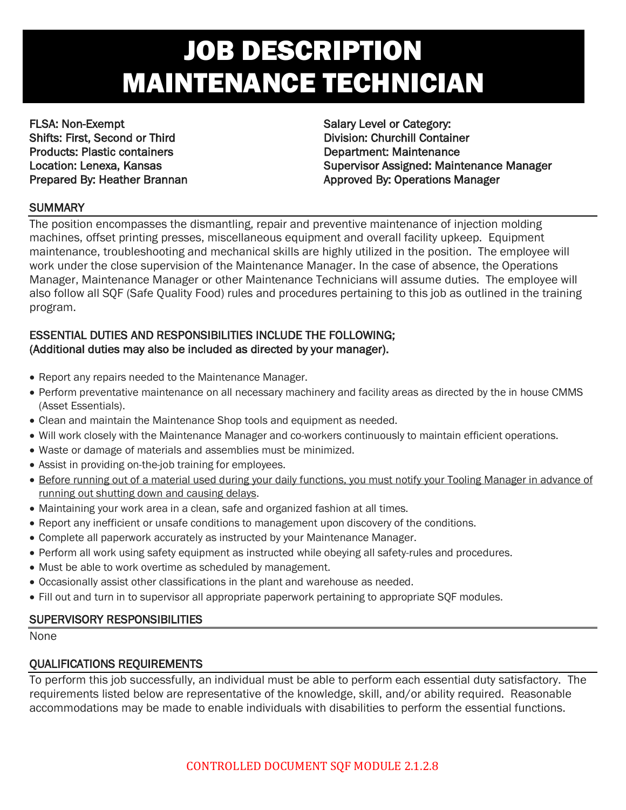# JOB DESCRIPTION MAINTENANCE TECHNICIAN

FLSA: Non-Exempt Salary Level or Category: Shifts: First, Second or Third **Division: Churchill Container** Products: Plastic containers **Department: Maintenance** 

Location: Lenexa, Kansas Supervisor Assigned: Maintenance Manager Prepared By: Heather Brannan Approved By: Operations Manager

## **SUMMARY**

The position encompasses the dismantling, repair and preventive maintenance of injection molding machines, offset printing presses, miscellaneous equipment and overall facility upkeep. Equipment maintenance, troubleshooting and mechanical skills are highly utilized in the position. The employee will work under the close supervision of the Maintenance Manager. In the case of absence, the Operations Manager, Maintenance Manager or other Maintenance Technicians will assume duties. The employee will also follow all SQF (Safe Quality Food) rules and procedures pertaining to this job as outlined in the training program.

## ESSENTIAL DUTIES AND RESPONSIBILITIES INCLUDE THE FOLLOWING; (Additional duties may also be included as directed by your manager).

- Report any repairs needed to the Maintenance Manager.
- Perform preventative maintenance on all necessary machinery and facility areas as directed by the in house CMMS (Asset Essentials).
- Clean and maintain the Maintenance Shop tools and equipment as needed.
- Will work closely with the Maintenance Manager and co-workers continuously to maintain efficient operations.
- Waste or damage of materials and assemblies must be minimized.
- Assist in providing on-the-job training for employees.
- Before running out of a material used during your daily functions, you must notify your Tooling Manager in advance of running out shutting down and causing delays.
- Maintaining your work area in a clean, safe and organized fashion at all times.
- Report any inefficient or unsafe conditions to management upon discovery of the conditions.
- Complete all paperwork accurately as instructed by your Maintenance Manager.
- Perform all work using safety equipment as instructed while obeying all safety-rules and procedures.
- Must be able to work overtime as scheduled by management.
- Occasionally assist other classifications in the plant and warehouse as needed.
- Fill out and turn in to supervisor all appropriate paperwork pertaining to appropriate SQF modules.

## SUPERVISORY RESPONSIBILITIES

None

## QUALIFICATIONS REQUIREMENTS

To perform this job successfully, an individual must be able to perform each essential duty satisfactory. The requirements listed below are representative of the knowledge, skill, and/or ability required. Reasonable accommodations may be made to enable individuals with disabilities to perform the essential functions.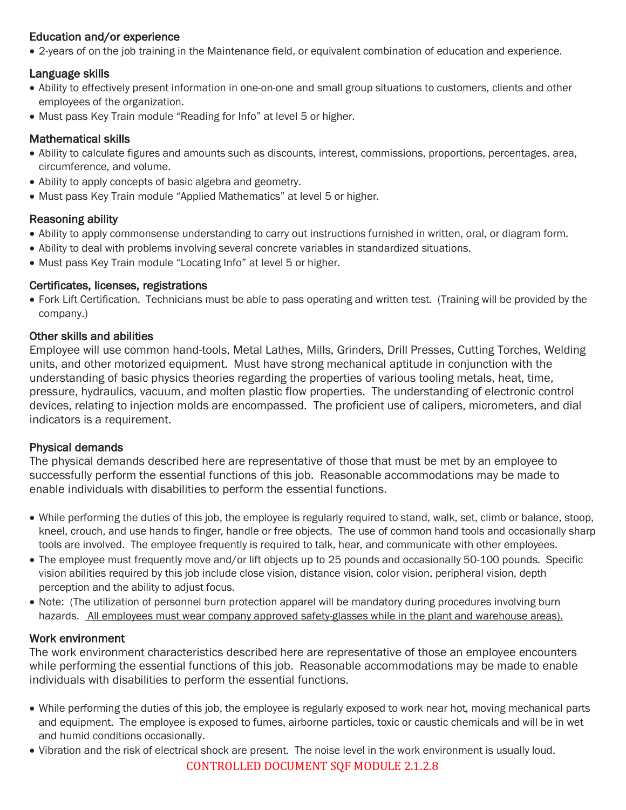## Education and/or experience

• 2-years of on the job training in the Maintenance field, or equivalent combination of education and experience.

## Language skills

- Ability to effectively present information in one-on-one and small group situations to customers, clients and other employees of the organization.
- Must pass Key Train module "Reading for Info" at level 5 or higher.

## Mathematical skills

- Ability to calculate figures and amounts such as discounts, interest, commissions, proportions, percentages, area, circumference, and volume.
- Ability to apply concepts of basic algebra and geometry.
- Must pass Key Train module "Applied Mathematics" at level 5 or higher.

## Reasoning ability

- Ability to apply commonsense understanding to carry out instructions furnished in written, oral, or diagram form.
- Ability to deal with problems involving several concrete variables in standardized situations.
- Must pass Key Train module "Locating Info" at level 5 or higher.

## Certificates, licenses, registrations

• Fork Lift Certification. Technicians must be able to pass operating and written test. (Training will be provided by the company.)

#### Other skills and abilities

Employee will use common hand-tools, Metal Lathes, Mills, Grinders, Drill Presses, Cutting Torches, Welding units, and other motorized equipment. Must have strong mechanical aptitude in conjunction with the understanding of basic physics theories regarding the properties of various tooling metals, heat, time, pressure, hydraulics, vacuum, and molten plastic flow properties. The understanding of electronic control devices, relating to injection molds are encompassed. The proficient use of calipers, micrometers, and dial indicators is a requirement.

## Physical demands

The physical demands described here are representative of those that must be met by an employee to successfully perform the essential functions of this job. Reasonable accommodations may be made to enable individuals with disabilities to perform the essential functions.

- While performing the duties of this job, the employee is regularly required to stand, walk, set, climb or balance, stoop, kneel, crouch, and use hands to finger, handle or free objects. The use of common hand tools and occasionally sharp tools are involved. The employee frequently is required to talk, hear, and communicate with other employees.
- The employee must frequently move and/or lift objects up to 25 pounds and occasionally 50-100 pounds. Specific vision abilities required by this job include close vision, distance vision, color vision, peripheral vision, depth perception and the ability to adjust focus.
- Note: (The utilization of personnel burn protection apparel will be mandatory during procedures involving burn hazards. All employees must wear company approved safety-glasses while in the plant and warehouse areas).

## Work environment

The work environment characteristics described here are representative of those an employee encounters while performing the essential functions of this job. Reasonable accommodations may be made to enable individuals with disabilities to perform the essential functions.

- While performing the duties of this job, the employee is regularly exposed to work near hot, moving mechanical parts and equipment. The employee is exposed to fumes, airborne particles, toxic or caustic chemicals and will be in wet and humid conditions occasionally.
- Vibration and the risk of electrical shock are present. The noise level in the work environment is usually loud.

CONTROLLED DOCUMENT SOF MODULE 2.1.2.8